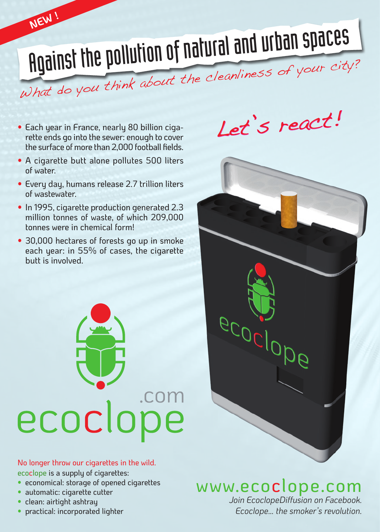# Against the pollution of natural and urban spaces What do you think about the cleanliness of your city?

• Each year in France, nearly 80 billion cigarette ends go into the sewer: enough to cover the surface of more than 2,000 football fields.

**NEW !**

- A cigarette butt alone pollutes 500 liters of water.
- Every day, humans release 2.7 trillion liters of wastewater.
- In 1995, cigarette production generated 2.3 million tonnes of waste, of which 209,000 tonnes were in chemical form!
- 30,000 hectares of forests go up in smoke each year: in 55% of cases, the cigarette butt is involved.



#### No longer throw our cigarettes in the wild. ecoclope is a supply of cigarettes:

- economical: storage of opened cigarettes
- automatic: cigarette cutter
- clean: airtight ashtray
- practical: incorporated lighter

Let's react!



## www.ecoclope.com

*Join EcoclopeDiffusion on Facebook. Ecoclope… the smoker's revolution.*